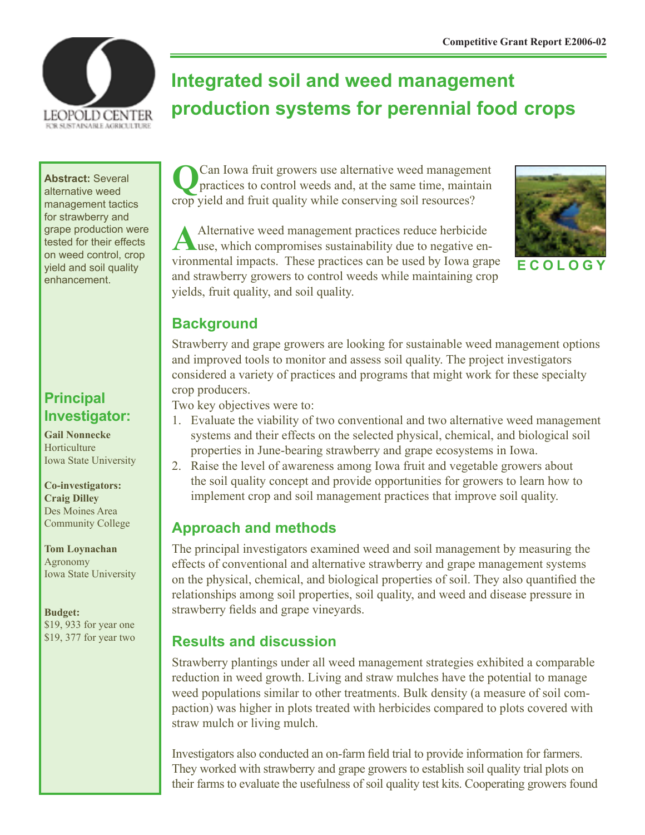

# **Integrated soil and weed management production systems for perennial food crops**

**Abstract:** Several alternative weed management tactics for strawberry and grape production were tested for their effects on weed control, crop yield and soil quality enhancement.

## **Principal Investigator:**

**Gail Nonnecke** Horticulture Iowa State University

**Co-investigators: Craig Dilley** Des Moines Area Community College

**Tom Loynachan** Agronomy Iowa State University

**Budget:** \$19, 933 for year one \$19, 377 for year two

**Q**Can Iowa fruit growers use alternative weed management practices to control weeds and, at the same time, maintain crop yield and fruit quality while conserving soil resources?

Alternative weed management practices reduce herbicide use, which compromises sustainability due to negative environmental impacts. These practices can be used by Iowa grape and strawberry growers to control weeds while maintaining crop yields, fruit quality, and soil quality.



**E C O L O G Y**

### **Background**

Strawberry and grape growers are looking for sustainable weed management options and improved tools to monitor and assess soil quality. The project investigators considered a variety of practices and programs that might work for these specialty crop producers.

Two key objectives were to:

- 1. Evaluate the viability of two conventional and two alternative weed management systems and their effects on the selected physical, chemical, and biological soil properties in June-bearing strawberry and grape ecosystems in Iowa.
- 2. Raise the level of awareness among Iowa fruit and vegetable growers about the soil quality concept and provide opportunities for growers to learn how to implement crop and soil management practices that improve soil quality.

#### **Approach and methods**

The principal investigators examined weed and soil management by measuring the effects of conventional and alternative strawberry and grape management systems on the physical, chemical, and biological properties of soil. They also quantified the relationships among soil properties, soil quality, and weed and disease pressure in strawberry fields and grape vineyards.

#### **Results and discussion**

Strawberry plantings under all weed management strategies exhibited a comparable reduction in weed growth. Living and straw mulches have the potential to manage weed populations similar to other treatments. Bulk density (a measure of soil compaction) was higher in plots treated with herbicides compared to plots covered with straw mulch or living mulch.

Investigators also conducted an on-farm field trial to provide information for farmers. They worked with strawberry and grape growers to establish soil quality trial plots on their farms to evaluate the usefulness of soil quality test kits. Cooperating growers found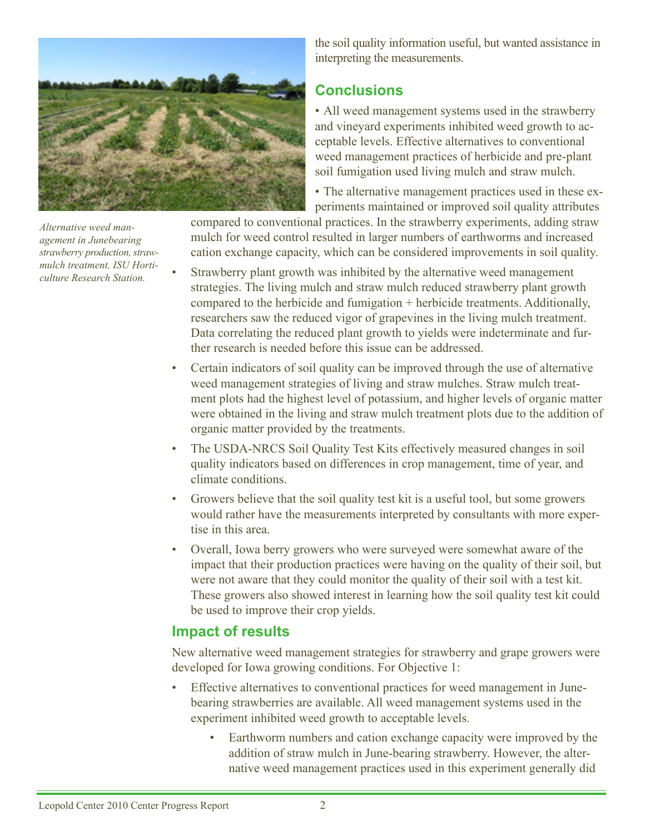

*Alternative weed management in Junebearing strawberry production, strawmulch treatment, ISU Horticulture Research Station.*

the soil quality information useful, but wanted assistance in interpreting the measurements.

#### **Conclusions**

• All weed management systems used in the strawberry and vineyard experiments inhibited weed growth to acceptable levels. Effective alternatives to conventional weed management practices of herbicide and pre-plant soil fumigation used living mulch and straw mulch.

• The alternative management practices used in these experiments maintained or improved soil quality attributes

compared to conventional practices. In the strawberry experiments, adding straw mulch for weed control resulted in larger numbers of earthworms and increased cation exchange capacity, which can be considered improvements in soil quality.

- Strawberry plant growth was inhibited by the alternative weed management strategies. The living mulch and straw mulch reduced strawberry plant growth compared to the herbicide and fumigation + herbicide treatments. Additionally, researchers saw the reduced vigor of grapevines in the living mulch treatment. Data correlating the reduced plant growth to yields were indeterminate and further research is needed before this issue can be addressed.
- Certain indicators of soil quality can be improved through the use of alternative weed management strategies of living and straw mulches. Straw mulch treatment plots had the highest level of potassium, and higher levels of organic matter were obtained in the living and straw mulch treatment plots due to the addition of organic matter provided by the treatments.
- The USDA-NRCS Soil Quality Test Kits effectively measured changes in soil quality indicators based on differences in crop management, time of year, and climate conditions.
- Growers believe that the soil quality test kit is a useful tool, but some growers would rather have the measurements interpreted by consultants with more expertise in this area.
- Overall, Iowa berry growers who were surveyed were somewhat aware of the impact that their production practices were having on the quality of their soil, but were not aware that they could monitor the quality of their soil with a test kit. These growers also showed interest in learning how the soil quality test kit could be used to improve their crop yields.

#### **Impact of results**

New alternative weed management strategies for strawberry and grape growers were developed for Iowa growing conditions. For Objective 1:

- Effective alternatives to conventional practices for weed management in Junebearing strawberries are available. All weed management systems used in the experiment inhibited weed growth to acceptable levels.
	- Earthworm numbers and cation exchange capacity were improved by the addition of straw mulch in June-bearing strawberry. However, the alternative weed management practices used in this experiment generally did